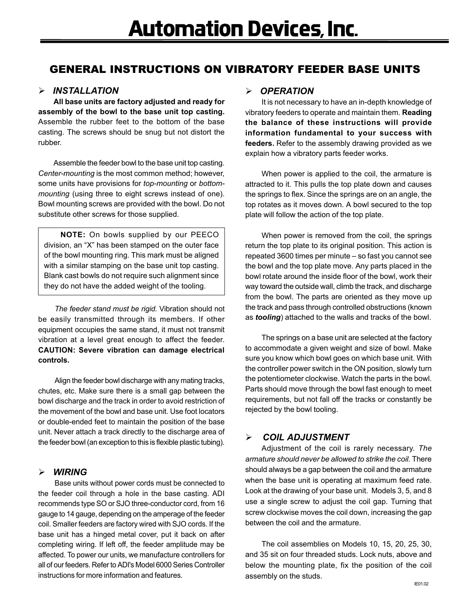# GENERAL INSTRUCTIONS ON VIBRATORY FEEDER BASE UNITS

## ¾ *INSTALLATION*

**All base units are factory adjusted and ready for assembly of the bowl to the base unit top casting.** Assemble the rubber feet to the bottom of the base casting. The screws should be snug but not distort the rubber.

Assemble the feeder bowl to the base unit top casting. *Center-mounting* is the most common method; however, some units have provisions for *top-mounting* or *bottommounting* (using three to eight screws instead of one). Bowl mounting screws are provided with the bowl. Do not substitute other screws for those supplied.

**NOTE:** On bowls supplied by our PEECO division, an "X" has been stamped on the outer face of the bowl mounting ring. This mark must be aligned with a similar stamping on the base unit top casting. Blank cast bowls do not require such alignment since they do not have the added weight of the tooling.

*The feeder stand must be rigid.* Vibration should not be easily transmitted through its members. If other equipment occupies the same stand, it must not transmit vibration at a level great enough to affect the feeder. **CAUTION: Severe vibration can damage electrical controls.**

Align the feeder bowl discharge with any mating tracks, chutes, etc. Make sure there is a small gap between the bowl discharge and the track in order to avoid restriction of the movement of the bowl and base unit. Use foot locators or double-ended feet to maintain the position of the base unit. Never attach a track directly to the discharge area of the feeder bowl (an exception to this is flexible plastic tubing).

# ¾ *WIRING*

Base units without power cords must be connected to the feeder coil through a hole in the base casting. ADI recommends type SO or SJO three-conductor cord, from 16 gauge to 14 gauge, depending on the amperage of the feeder coil. Smaller feeders are factory wired with SJO cords. If the base unit has a hinged metal cover, put it back on after completing wiring. If left off, the feeder amplitude may be affected. To power our units, we manufacture controllers for all of our feeders. Refer to ADI's Model 6000 Series Controller instructions for more information and features.

#### ¾ *OPERATION*

It is not necessary to have an in-depth knowledge of vibratory feeders to operate and maintain them. **Reading the balance of these instructions will provide information fundamental to your success with feeders.** Refer to the assembly drawing provided as we explain how a vibratory parts feeder works.

When power is applied to the coil, the armature is attracted to it. This pulls the top plate down and causes the springs to flex. Since the springs are on an angle, the top rotates as it moves down. A bowl secured to the top plate will follow the action of the top plate.

When power is removed from the coil, the springs return the top plate to its original position. This action is repeated 3600 times per minute – so fast you cannot see the bowl and the top plate move. Any parts placed in the bowl rotate around the inside floor of the bowl, work their way toward the outside wall, climb the track, and discharge from the bowl. The parts are oriented as they move up the track and pass through controlled obstructions (known as *tooling*) attached to the walls and tracks of the bowl.

The springs on a base unit are selected at the factory to accommodate a given weight and size of bowl. Make sure you know which bowl goes on which base unit. With the controller power switch in the ON position, slowly turn the potentiometer clockwise. Watch the parts in the bowl. Parts should move through the bowl fast enough to meet requirements, but not fall off the tracks or constantly be rejected by the bowl tooling.

# ¾ *COIL ADJUSTMENT*

Adjustment of the coil is rarely necessary. *The armature should never be allowed to strike the coil.* There should always be a gap between the coil and the armature when the base unit is operating at maximum feed rate. Look at the drawing of your base unit. Models 3, 5, and 8 use a single screw to adjust the coil gap. Turning that screw clockwise moves the coil down, increasing the gap between the coil and the armature.

The coil assemblies on Models 10, 15, 20, 25, 30, and 35 sit on four threaded studs. Lock nuts, above and below the mounting plate, fix the position of the coil assembly on the studs.